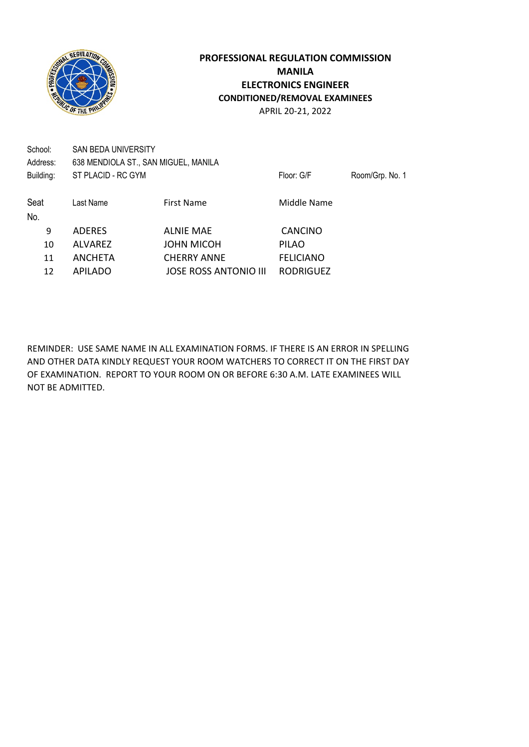

APRIL 20-21, 2022

| School:<br>Address: | SAN BEDA UNIVERSITY<br>638 MENDIOLA ST., SAN MIGUEL, MANILA |                              |                  |                 |
|---------------------|-------------------------------------------------------------|------------------------------|------------------|-----------------|
| Building:           | ST PLACID - RC GYM                                          |                              | Floor: G/F       | Room/Grp. No. 1 |
|                     |                                                             |                              |                  |                 |
| Seat                | Last Name                                                   | <b>First Name</b>            | Middle Name      |                 |
| No.                 |                                                             |                              |                  |                 |
| 9                   | <b>ADERES</b>                                               | <b>ALNIE MAE</b>             | <b>CANCINO</b>   |                 |
| 10                  | <b>ALVAREZ</b>                                              | <b>JOHN MICOH</b>            | <b>PILAO</b>     |                 |
| 11                  | <b>ANCHETA</b>                                              | <b>CHERRY ANNE</b>           | <b>FELICIANO</b> |                 |
| 12                  | <b>APILADO</b>                                              | <b>JOSE ROSS ANTONIO III</b> | <b>RODRIGUEZ</b> |                 |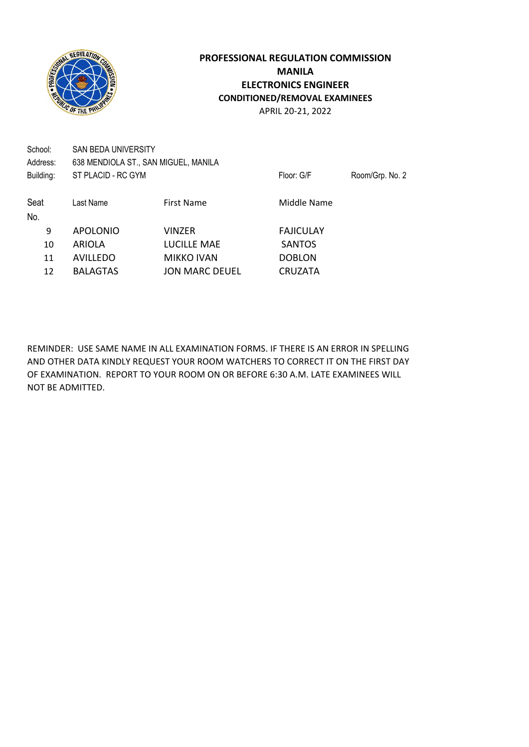

APRIL 20-21, 2022

| School:<br>Address: | SAN BEDA UNIVERSITY | 638 MENDIOLA ST., SAN MIGUEL, MANILA |                  |                 |
|---------------------|---------------------|--------------------------------------|------------------|-----------------|
| Building:           | ST PLACID - RC GYM  |                                      | Floor: G/F       | Room/Grp. No. 2 |
| Seat                | Last Name           | First Name                           | Middle Name      |                 |
| No.                 |                     |                                      |                  |                 |
| 9                   | <b>APOLONIO</b>     | VINZER                               | <b>FAJICULAY</b> |                 |
| 10                  | ARIOLA              | LUCILLE MAE                          | <b>SANTOS</b>    |                 |
| 11                  | <b>AVILLEDO</b>     | <b>MIKKO IVAN</b>                    | <b>DOBLON</b>    |                 |
| 12                  | <b>BALAGTAS</b>     | <b>JON MARC DEUEL</b>                | <b>CRUZATA</b>   |                 |
|                     |                     |                                      |                  |                 |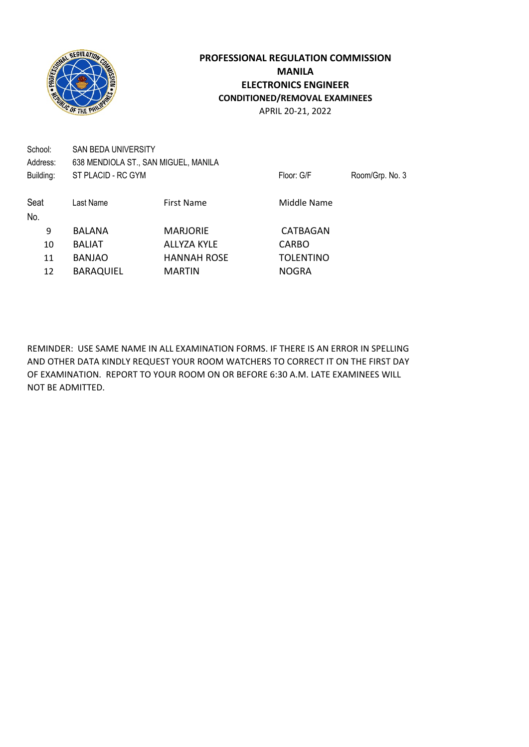

APRIL 20-21, 2022

| School:<br>Address: | SAN BEDA UNIVERSITY | 638 MENDIOLA ST., SAN MIGUEL, MANILA |                  |                 |
|---------------------|---------------------|--------------------------------------|------------------|-----------------|
| Building:           | ST PLACID - RC GYM  |                                      | Floor: G/F       | Room/Grp. No. 3 |
| Seat<br>No.         | Last Name           | <b>First Name</b>                    | Middle Name      |                 |
| 9                   | <b>BALANA</b>       | <b>MARJORIE</b>                      | CATBAGAN         |                 |
| 10                  | <b>BALIAT</b>       | <b>ALLYZA KYLE</b>                   | <b>CARBO</b>     |                 |
| 11                  | <b>BANJAO</b>       | <b>HANNAH ROSE</b>                   | <b>TOLENTINO</b> |                 |
| 12                  | <b>BARAQUIEL</b>    | <b>MARTIN</b>                        | <b>NOGRA</b>     |                 |
|                     |                     |                                      |                  |                 |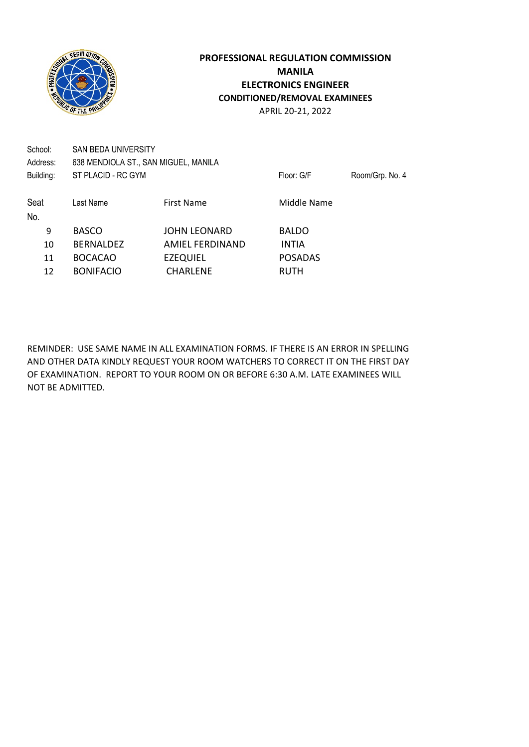

School: SAN BEDA UNIVERSITY Address: 638 MENDIOLA ST., SAN MIGUEL, MANILA Building: ST PLACID - RC GYM Floor: G/F Room/Grp. No. 4

Seat Last Name First Name First Name Middle Name No. 9 BASCO JOHN LEONARD BALDO 10 BERNALDEZ AMIEL FERDINAND INTIA 11 BOCACAO EZEQUIEL POSADAS 12 BONIFACIO CHARLENE RUTH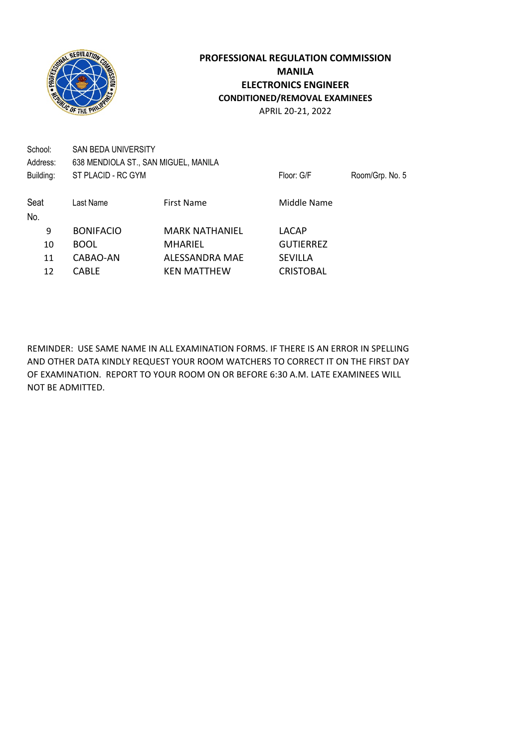

School: SAN BEDA UNIVERSITY Address: 638 MENDIOLA ST., SAN MIGUEL, MANILA Building: ST PLACID - RC GYM Floor: G/F Room/Grp. No. 5 Seat Last Name First Name First Name Middle Name No. 9 BONIFACIO MARK NATHANIEL LACAP 10 BOOL MHARIEL GUTIERREZ

11 CABAO-AN ALESSANDRA MAE SEVILLA 12 CABLE KEN MATTHEW CRISTOBAL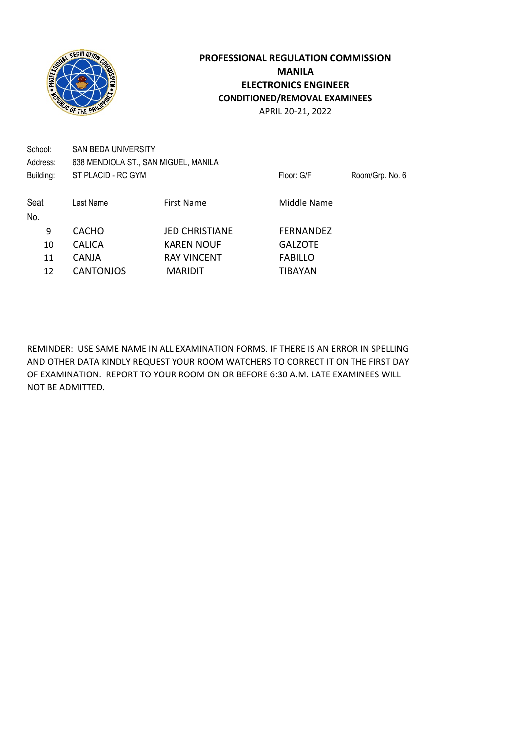

No.

## **PROFESSIONAL REGULATION COMMISSION MANILA ELECTRONICS ENGINEER CONDITIONED/REMOVAL EXAMINEES** APRIL 20-21, 2022

School: SAN BEDA UNIVERSITY Address: 638 MENDIOLA ST., SAN MIGUEL, MANILA Building: ST PLACID - RC GYM Floor: G/F Room/Grp. No. 6 Seat Last Name First Name First Name Middle Name

9 CACHO JED CHRISTIANE FERNANDEZ 10 CALICA KAREN NOUF GALZOTE 11 CANJA RAY VINCENT FABILLO 12 CANTONJOS MARIDIT TIBAYAN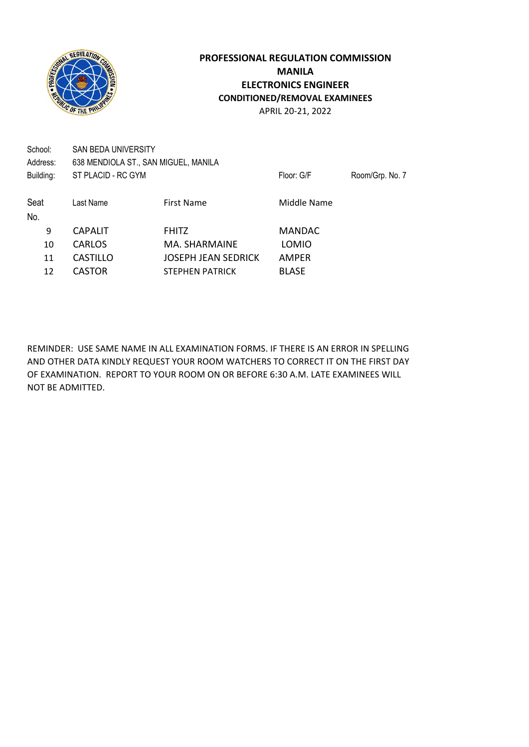

APRIL 20-21, 2022

| School:<br>Address: | SAN BEDA UNIVERSITY<br>638 MENDIOLA ST., SAN MIGUEL, MANILA |                        |               |                 |
|---------------------|-------------------------------------------------------------|------------------------|---------------|-----------------|
| Building:           | ST PLACID - RC GYM                                          |                        | Floor: G/F    | Room/Grp. No. 7 |
| Seat                | Last Name                                                   | <b>First Name</b>      | Middle Name   |                 |
| No.                 |                                                             |                        |               |                 |
| 9                   | <b>CAPALIT</b>                                              | <b>FHITZ</b>           | <b>MANDAC</b> |                 |
| 10                  | CARLOS                                                      | MA. SHARMAINE          | LOMIO         |                 |
| 11                  | <b>CASTILLO</b>                                             | JOSEPH JEAN SEDRICK    | AMPER         |                 |
| 12                  | <b>CASTOR</b>                                               | <b>STEPHEN PATRICK</b> | <b>BLASE</b>  |                 |
|                     |                                                             |                        |               |                 |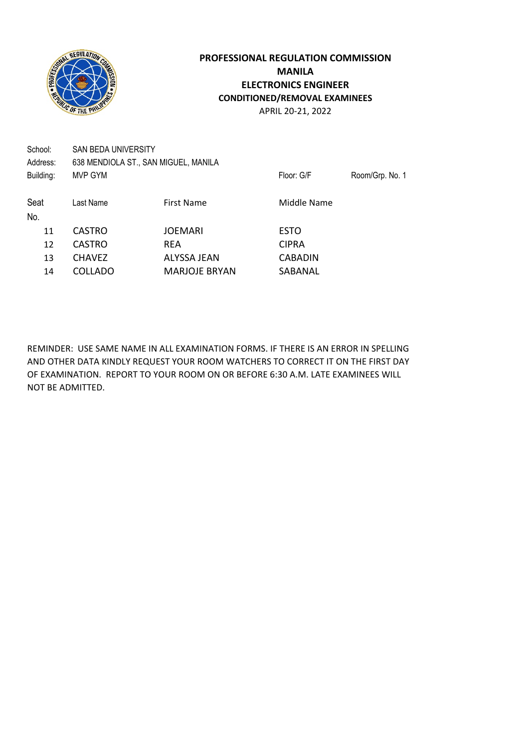

APRIL 20-21, 2022

| School:<br>Address: | <b>SAN BEDA UNIVERSITY</b><br>638 MENDIOLA ST., SAN MIGUEL, MANILA |                      |                |                 |
|---------------------|--------------------------------------------------------------------|----------------------|----------------|-----------------|
| Building:           | MVP GYM                                                            |                      | Floor: G/F     | Room/Grp. No. 1 |
| Seat<br>No.         | Last Name                                                          | <b>First Name</b>    | Middle Name    |                 |
| 11                  | <b>CASTRO</b>                                                      | <b>JOEMARI</b>       | <b>ESTO</b>    |                 |
| 12                  | <b>CASTRO</b>                                                      | <b>REA</b>           | <b>CIPRA</b>   |                 |
| 13                  | <b>CHAVEZ</b>                                                      | <b>ALYSSA JEAN</b>   | <b>CABADIN</b> |                 |
| 14                  | <b>COLLADO</b>                                                     | <b>MARJOJE BRYAN</b> | SABANAL        |                 |
|                     |                                                                    |                      |                |                 |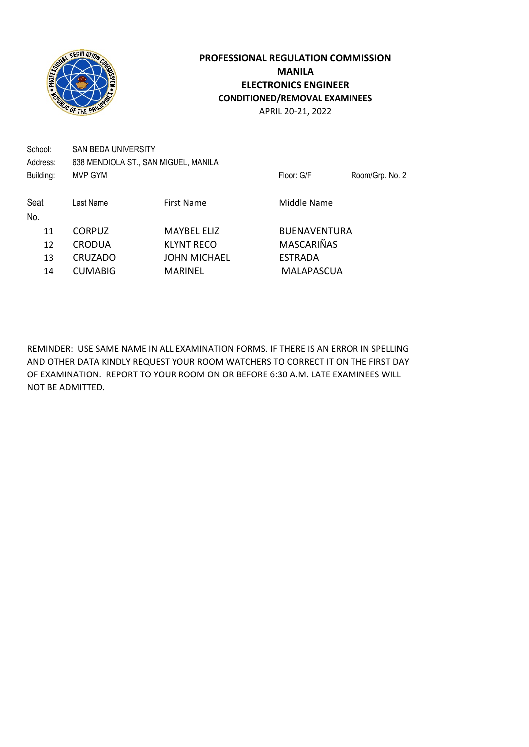

APRIL 20-21, 2022

| School:   | SAN BEDA UNIVERSITY |                                      |                     |                 |
|-----------|---------------------|--------------------------------------|---------------------|-----------------|
| Address:  |                     | 638 MENDIOLA ST., SAN MIGUEL, MANILA |                     |                 |
| Building: | MVP GYM             |                                      | Floor: G/F          | Room/Grp. No. 2 |
| Seat      | Last Name           | <b>First Name</b>                    | Middle Name         |                 |
| No.       |                     |                                      |                     |                 |
| 11        | <b>CORPUZ</b>       | <b>MAYBEL ELIZ</b>                   | <b>BUENAVENTURA</b> |                 |
| 12        | <b>CRODUA</b>       | <b>KLYNT RECO</b>                    | <b>MASCARIÑAS</b>   |                 |
| 13        | <b>CRUZADO</b>      | <b>JOHN MICHAEL</b>                  | <b>ESTRADA</b>      |                 |
| 14        | <b>CUMABIG</b>      | <b>MARINEL</b>                       | MALAPASCUA          |                 |
|           |                     |                                      |                     |                 |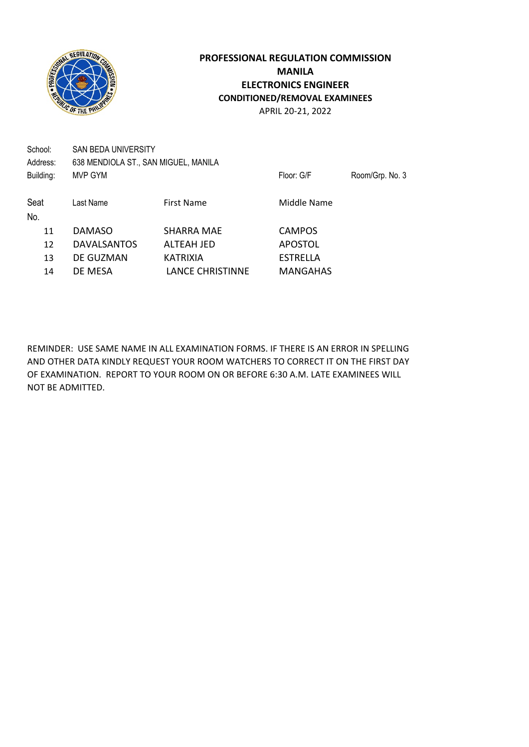

APRIL 20-21, 2022

| School:<br>Address: | <b>SAN BEDA UNIVERSITY</b><br>638 MENDIOLA ST., SAN MIGUEL, MANILA |                         |                 |                 |
|---------------------|--------------------------------------------------------------------|-------------------------|-----------------|-----------------|
| Building:           | MVP GYM                                                            |                         | Floor: G/F      | Room/Grp. No. 3 |
| Seat<br>No.         | Last Name                                                          | <b>First Name</b>       | Middle Name     |                 |
| 11                  | <b>DAMASO</b>                                                      | SHARRA MAE              | <b>CAMPOS</b>   |                 |
| 12                  | <b>DAVALSANTOS</b>                                                 | ALTEAH JED              | <b>APOSTOL</b>  |                 |
| 13                  | DE GUZMAN                                                          | <b>KATRIXIA</b>         | <b>ESTRELLA</b> |                 |
| 14                  | DE MESA                                                            | <b>LANCE CHRISTINNE</b> | <b>MANGAHAS</b> |                 |
|                     |                                                                    |                         |                 |                 |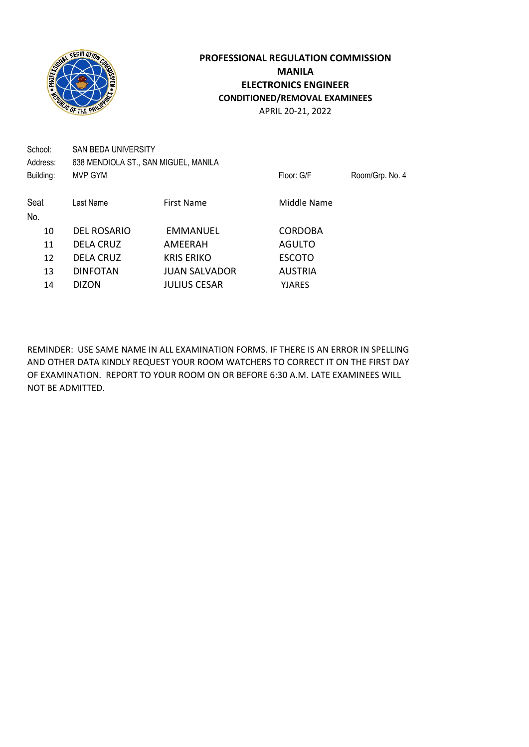

APRIL 20-21, 2022

| School:<br>Address: | <b>SAN BEDA UNIVERSITY</b><br>638 MENDIOLA ST., SAN MIGUEL, MANILA |                      |                |                 |
|---------------------|--------------------------------------------------------------------|----------------------|----------------|-----------------|
| Building:           | MVP GYM                                                            |                      | Floor: G/F     | Room/Grp. No. 4 |
| Seat<br>No.         | Last Name                                                          | <b>First Name</b>    | Middle Name    |                 |
| 10                  | <b>DEL ROSARIO</b>                                                 | EMMANUEL             | <b>CORDOBA</b> |                 |
| 11                  | <b>DELA CRUZ</b>                                                   | AMEERAH              | AGULTO         |                 |
| 12                  | <b>DELA CRUZ</b>                                                   | <b>KRIS ERIKO</b>    | <b>ESCOTO</b>  |                 |
| 13                  | <b>DINFOTAN</b>                                                    | <b>JUAN SALVADOR</b> | <b>AUSTRIA</b> |                 |
| 14                  | <b>DIZON</b>                                                       | <b>JULIUS CESAR</b>  | <b>YJARES</b>  |                 |
|                     |                                                                    |                      |                |                 |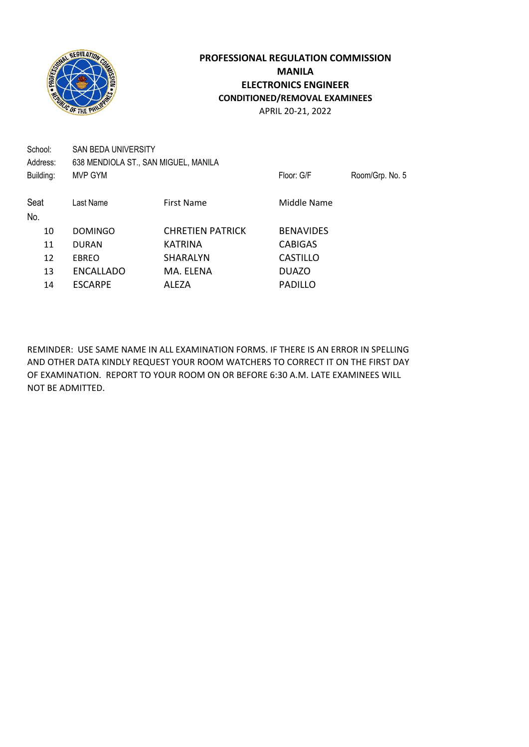

APRIL 20-21, 2022

| SAN BEDA UNIVERSITY |                         |                                      |                 |
|---------------------|-------------------------|--------------------------------------|-----------------|
| MVP GYM             |                         | Floor: G/F                           | Room/Grp. No. 5 |
| Last Name           | First Name              | Middle Name                          |                 |
| <b>DOMINGO</b>      | <b>CHRETIEN PATRICK</b> | <b>BENAVIDES</b>                     |                 |
| <b>DURAN</b>        | <b>KATRINA</b>          | <b>CABIGAS</b>                       |                 |
| EBREO               | SHARALYN                | <b>CASTILLO</b>                      |                 |
| <b>ENCALLADO</b>    | MA. ELENA               | <b>DUAZO</b>                         |                 |
| <b>ESCARPE</b>      | ALEZA                   | <b>PADILLO</b>                       |                 |
|                     |                         | 638 MENDIOLA ST., SAN MIGUEL, MANILA |                 |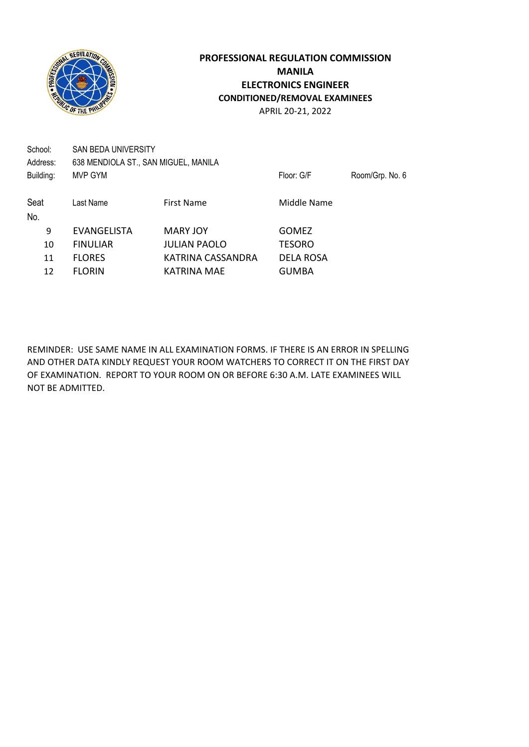

APRIL 20-21, 2022

| School:<br>Address: | SAN BEDA UNIVERSITY<br>638 MENDIOLA ST., SAN MIGUEL, MANILA |                     |                  |                 |
|---------------------|-------------------------------------------------------------|---------------------|------------------|-----------------|
| Building:           | MVP GYM                                                     |                     | Floor: G/F       | Room/Grp. No. 6 |
| Seat                | Last Name                                                   | First Name          | Middle Name      |                 |
| No.                 |                                                             |                     |                  |                 |
| 9                   | <b>EVANGELISTA</b>                                          | <b>MARY JOY</b>     | <b>GOMEZ</b>     |                 |
| 10                  | <b>FINULIAR</b>                                             | <b>JULIAN PAOLO</b> | <b>TESORO</b>    |                 |
| 11                  | <b>FLORES</b>                                               | KATRINA CASSANDRA   | <b>DELA ROSA</b> |                 |
| 12                  | <b>FLORIN</b>                                               | KATRINA MAE         | <b>GUMBA</b>     |                 |
|                     |                                                             |                     |                  |                 |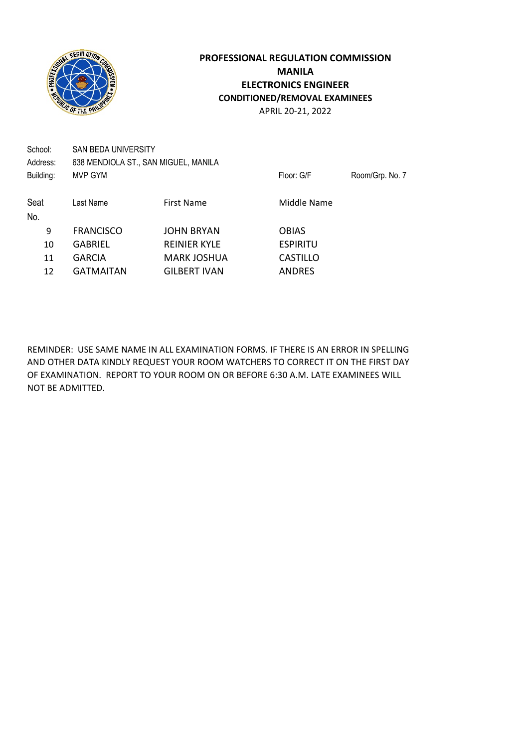

APRIL 20-21, 2022

| School:<br>Address: | SAN BEDA UNIVERSITY | 638 MENDIOLA ST., SAN MIGUEL, MANILA |                 |                 |
|---------------------|---------------------|--------------------------------------|-----------------|-----------------|
| Building:           | MVP GYM             |                                      | Floor: G/F      | Room/Grp. No. 7 |
| Seat                | Last Name           | First Name                           | Middle Name     |                 |
| No.                 |                     |                                      |                 |                 |
| 9                   | <b>FRANCISCO</b>    | <b>JOHN BRYAN</b>                    | <b>OBIAS</b>    |                 |
| 10                  | <b>GABRIEL</b>      | <b>REINIER KYLE</b>                  | <b>ESPIRITU</b> |                 |
| 11                  | <b>GARCIA</b>       | <b>MARK JOSHUA</b>                   | <b>CASTILLO</b> |                 |
| 12                  | <b>GATMAITAN</b>    | <b>GILBERT IVAN</b>                  | <b>ANDRES</b>   |                 |
|                     |                     |                                      |                 |                 |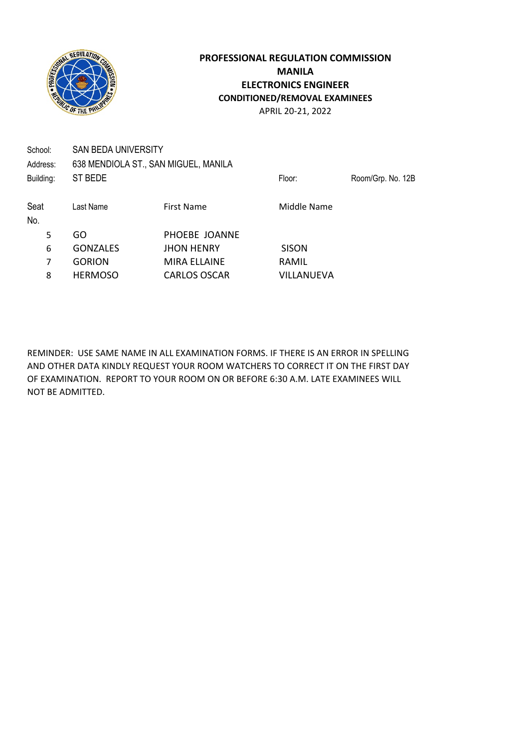

No.

## **PROFESSIONAL REGULATION COMMISSION MANILA ELECTRONICS ENGINEER CONDITIONED/REMOVAL EXAMINEES** APRIL 20-21, 2022

School: SAN BEDA UNIVERSITY Address: 638 MENDIOLA ST., SAN MIGUEL, MANILA Building: ST BEDE Floor: Room/Grp. No. 12B Seat Last Name First Name First Name Middle Name

 GO PHOEBE JOANNE GONZALES JHON HENRY SISON GORION MIRA ELLAINE RAMIL HERMOSO CARLOS OSCAR VILLANUEVA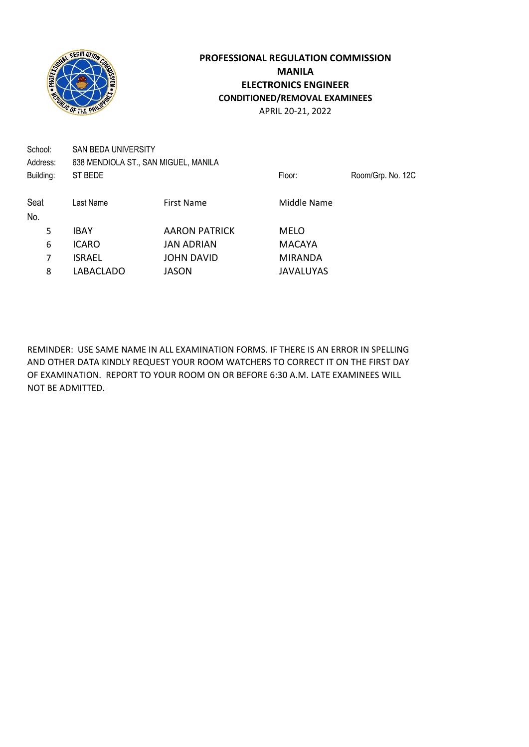

No.

## **PROFESSIONAL REGULATION COMMISSION MANILA ELECTRONICS ENGINEER CONDITIONED/REMOVAL EXAMINEES** APRIL 20-21, 2022

School: SAN BEDA UNIVERSITY Address: 638 MENDIOLA ST., SAN MIGUEL, MANILA Building: ST BEDE **Floor:** Room/Grp. No. 12C Seat Last Name First Name First Name Middle Name 5 IBAY **AARON PATRICK MELO** 

6 ICARO JAN ADRIAN MACAYA 7 ISRAEL JOHN DAVID MIRANDA 8 LABACLADO JASON JAVALUYAS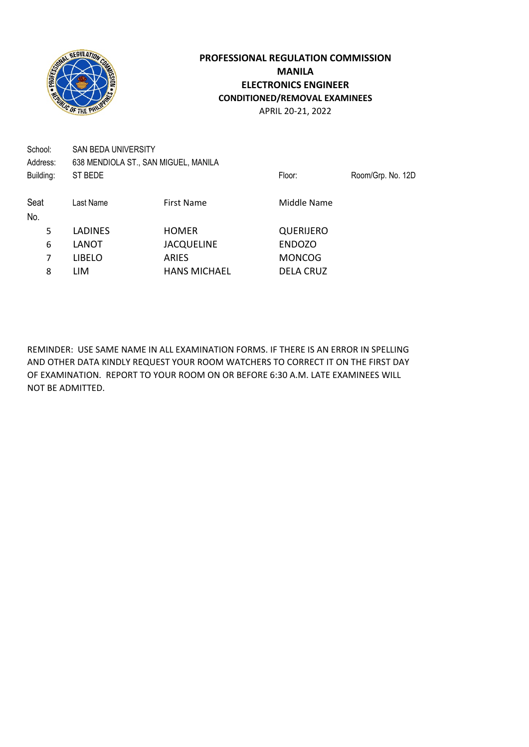

School: SAN BEDA UNIVERSITY Address: 638 MENDIOLA ST., SAN MIGUEL, MANILA Building: ST BEDE **Floor:** Room/Grp. No. 12D Seat Last Name First Name First Name Middle Name No. 5 LADINES HOMER QUERIJERO 6 LANOT JACQUELINE ENDOZO 7 LIBELO ARIES MONCOG 8 LIM HANS MICHAEL DELA CRUZ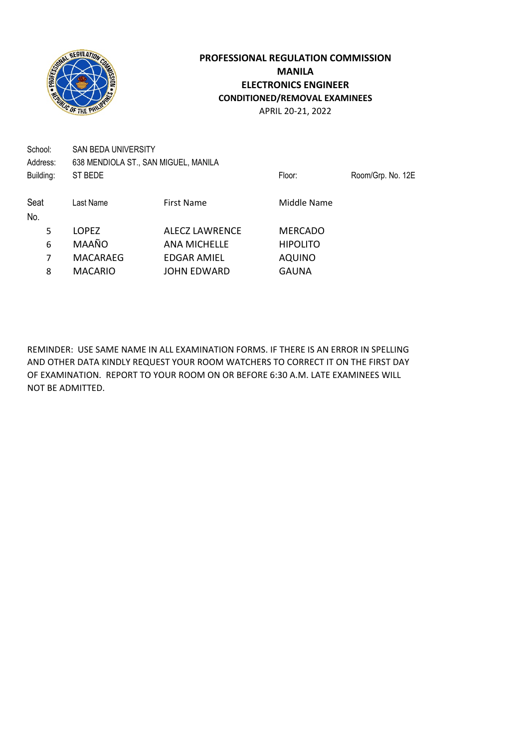

School: SAN BEDA UNIVERSITY Address: 638 MENDIOLA ST., SAN MIGUEL, MANILA Building: ST BEDE **Floor:** Room/Grp. No. 12E Seat Last Name First Name First Name Middle Name No. 5 LOPEZ ALECZ LAWRENCE MERCADO 6 MAAÑO ANA MICHELLE HIPOLITO 7 MACARAEG EDGAR AMIEL AQUINO

8 MACARIO JOHN EDWARD GAUNA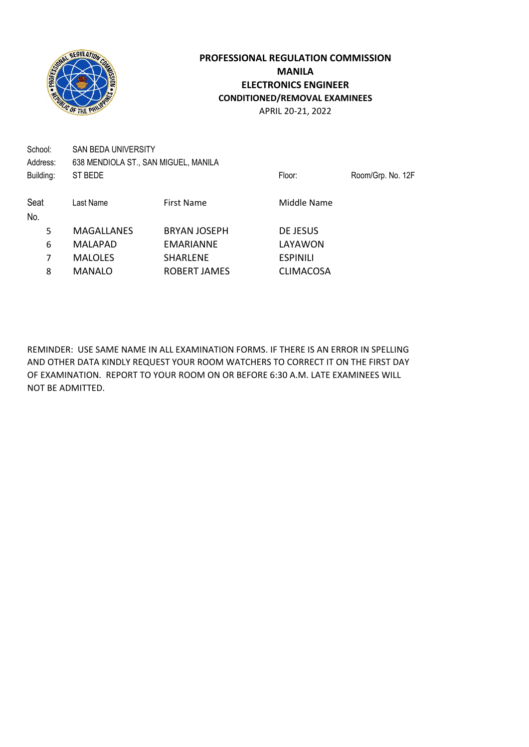

School: SAN BEDA UNIVERSITY Address: 638 MENDIOLA ST., SAN MIGUEL, MANILA Building: ST BEDE **Floor:** Room/Grp. No. 12F Seat Last Name First Name First Name Middle Name No. 5 MAGALLANES BRYAN JOSEPH DE JESUS 6 MALAPAD EMARIANNE LAYAWON 7 MALOLES SHARLENE ESPINILI 8 MANALO ROBERT JAMES CLIMACOSA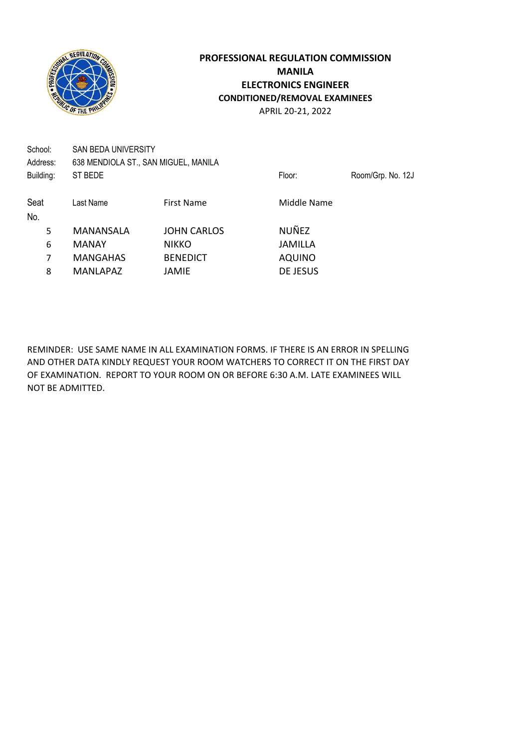

School: SAN BEDA UNIVERSITY Address: 638 MENDIOLA ST., SAN MIGUEL, MANILA Building: ST BEDE **Floor:** Room/Grp. No. 12J Seat Last Name First Name First Name Middle Name No. 5 MANANSALA JOHN CARLOS NUÑEZ 6 MANAY NIKKO JAMILLA 7 MANGAHAS BENEDICT AQUINO 8 MANLAPAZ JAMIE DE JESUS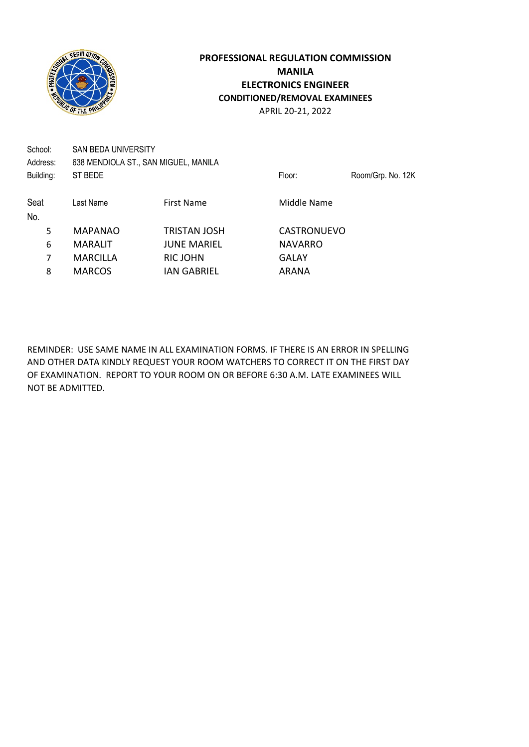

School: SAN BEDA UNIVERSITY Address: 638 MENDIOLA ST., SAN MIGUEL, MANILA Building: ST BEDE ST BEDE Floor: Room/Grp. No. 12K

| Seat | Last Name       | <b>First Name</b>   | Middle Name    |
|------|-----------------|---------------------|----------------|
| No.  |                 |                     |                |
| 5    | <b>MAPANAO</b>  | <b>TRISTAN JOSH</b> | CASTRONUEVO    |
| 6    | <b>MARALIT</b>  | <b>JUNE MARIEL</b>  | <b>NAVARRO</b> |
|      | <b>MARCILLA</b> | RIC JOHN            | GALAY          |
| 8    | <b>MARCOS</b>   | <b>IAN GABRIEL</b>  | ARANA          |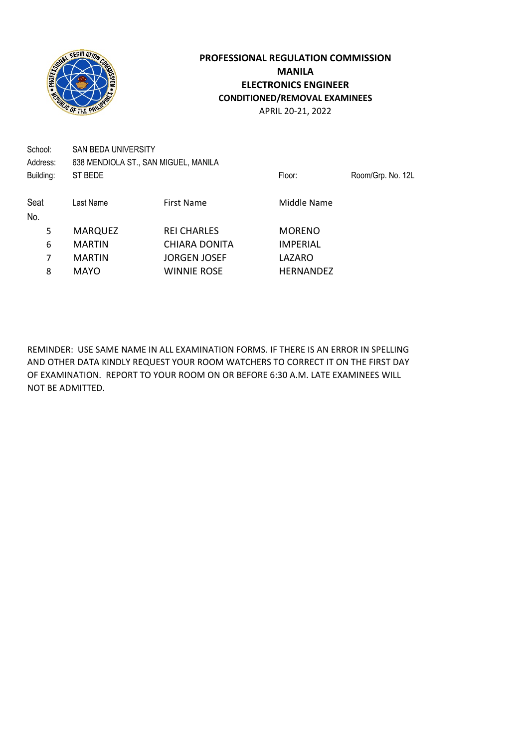

School: SAN BEDA UNIVERSITY Address: 638 MENDIOLA ST., SAN MIGUEL, MANILA Building: ST BEDE **Floor:** Room/Grp. No. 12L Seat Last Name First Name First Name Middle Name No. 5 MARQUEZ REI CHARLES MORENO 6 MARTIN CHIARA DONITA IMPERIAL 7 MARTIN JORGEN JOSEF LAZARO 8 MAYO WINNIE ROSE HERNANDEZ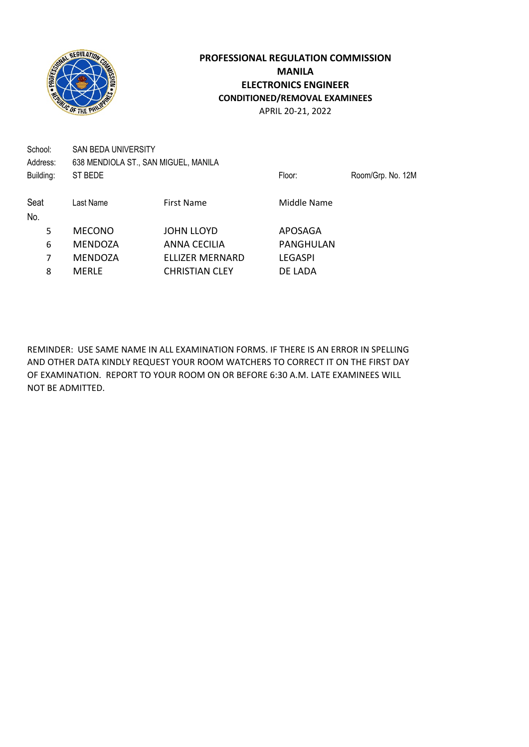

School: SAN BEDA UNIVERSITY Address: 638 MENDIOLA ST., SAN MIGUEL, MANILA Building: ST BEDE **Floor:** Room/Grp. No. 12M Seat Last Name First Name First Name Middle Name No. 5 MECONO JOHN LLOYD APOSAGA 6 MENDOZA ANNA CECILIA PANGHULAN 7 MENDOZA ELLIZER MERNARD LEGASPI

8 MERLE CHRISTIAN CLEY DE LADA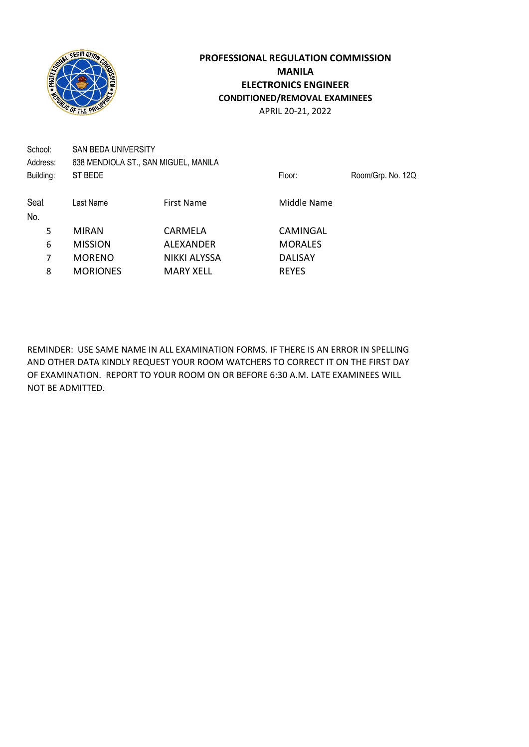

School: SAN BEDA UNIVERSITY Address: 638 MENDIOLA ST., SAN MIGUEL, MANILA Building: ST BEDE **Floor:** Room/Grp. No. 12Q Seat Last Name First Name First Name Middle Name No. 5 MIRAN CARMELA CAMINGAL 6 MISSION ALEXANDER MORALES 7 MORENO NIKKI ALYSSA DALISAY 8 MORIONES MARY XELL REYES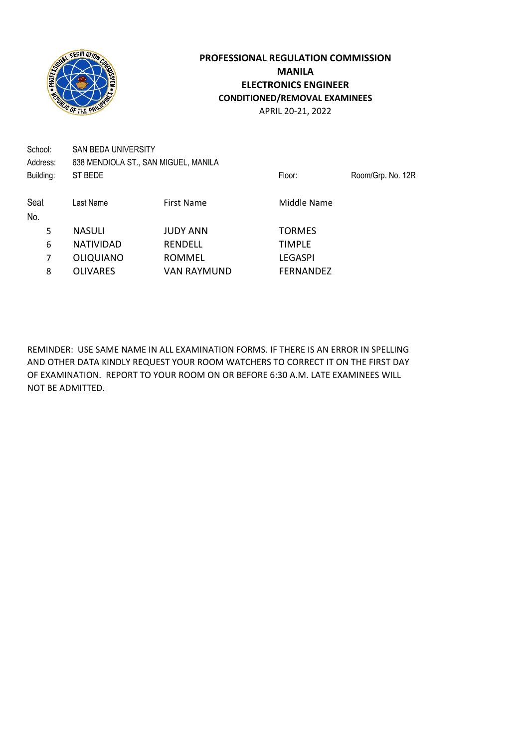

School: SAN BEDA UNIVERSITY Address: 638 MENDIOLA ST., SAN MIGUEL, MANILA Building: ST BEDE **Floor:** Room/Grp. No. 12R Seat Last Name First Name First Name Middle Name No. 5 NASULI JUDY ANN TORMES 6 NATIVIDAD RENDELL TIMPLE 7 OLIQUIANO ROMMEL LEGASPI 8 OLIVARES VAN RAYMUND FERNANDEZ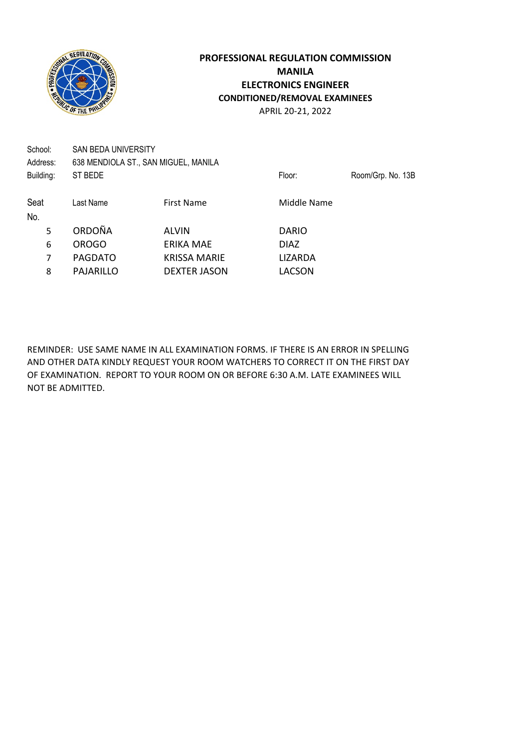

School: SAN BEDA UNIVERSITY Address: 638 MENDIOLA ST., SAN MIGUEL, MANILA Building: ST BEDE **Floor:** Room/Grp. No. 13B Seat Last Name First Name First Name Middle Name No. 5 ORDOÑA ALVIN DARIO 6 OROGO ERIKA MAE DIAZ 7 PAGDATO KRISSA MARIE LIZARDA 8 PAJARILLO DEXTER JASON LACSON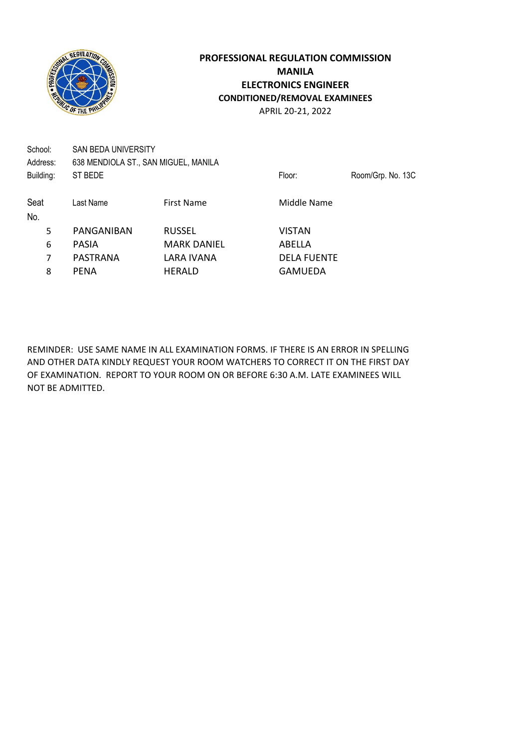

School: SAN BEDA UNIVERSITY Address: 638 MENDIOLA ST., SAN MIGUEL, MANILA Building: ST BEDE **Floor:** Room/Grp. No. 13C Seat Last Name First Name First Name Middle Name No. 5 PANGANIBAN RUSSEL VISTAN 6 PASIA MARK DANIEL ABELLA 7 PASTRANA LARA IVANA DELA FUENTE 8 PENA HERALD GAMUEDA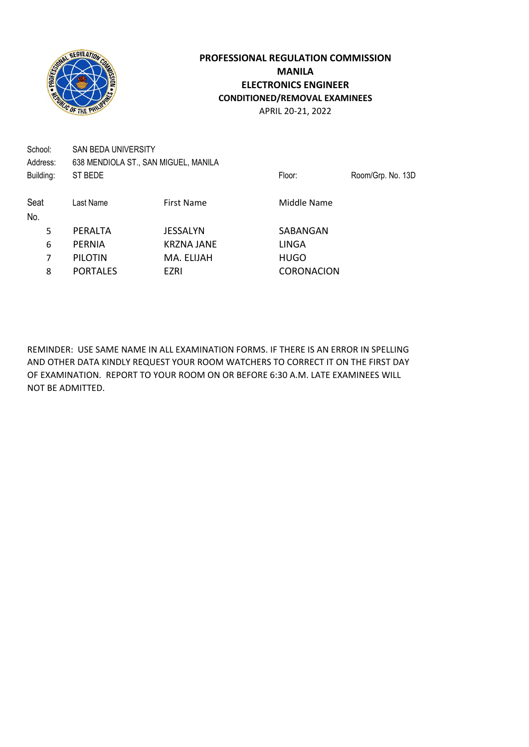

School: SAN BEDA UNIVERSITY Address: 638 MENDIOLA ST., SAN MIGUEL, MANILA Building: ST BEDE **Floor:** Room/Grp. No. 13D Seat Last Name First Name First Name Middle Name No. 5 PERALTA JESSALYN SABANGAN 6 PERNIA KRZNA JANE LINGA 7 PILOTIN MA. ELIJAH HUGO 8 PORTALES EZRI CORONACION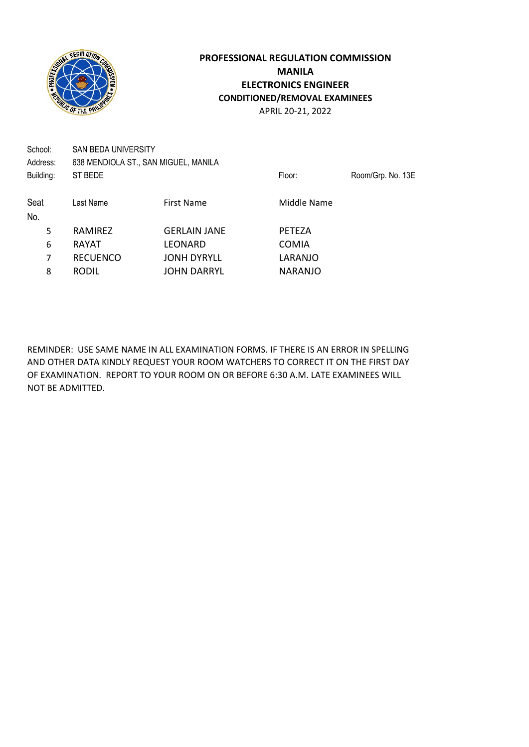

School: SAN BEDA UNIVERSITY Address: 638 MENDIOLA ST., SAN MIGUEL, MANILA Building: ST BEDE **Floor:** Room/Grp. No. 13E Seat Last Name First Name First Name Middle Name No. 5 RAMIREZ GERLAIN JANE PETEZA 6 RAYAT LEONARD COMIA 7 RECUENCO JONH DYRYLL LARANJO 8 RODIL JOHN DARRYL NARANJO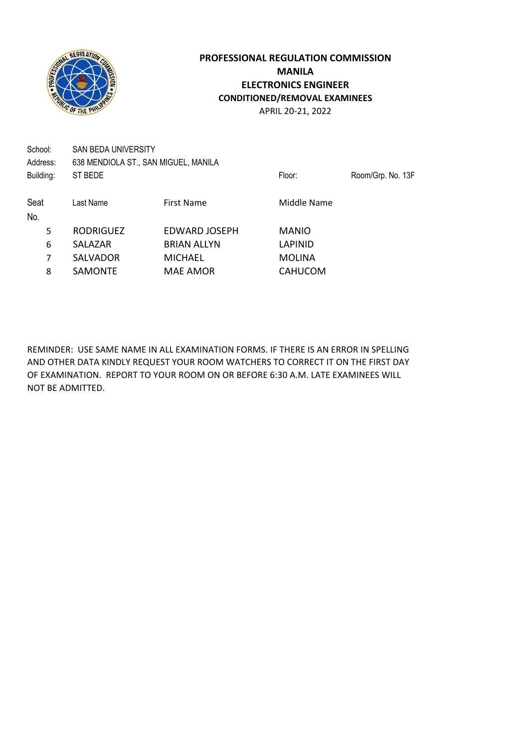

School: SAN BEDA UNIVERSITY Address: 638 MENDIOLA ST., SAN MIGUEL, MANILA Building: ST BEDE **Floor:** Room/Grp. No. 13F Seat Last Name First Name First Name Middle Name No. 5 RODRIGUEZ EDWARD JOSEPH MANIO 6 SALAZAR BRIAN ALLYN LAPINID 7 SALVADOR MICHAEL MOLINA

8 SAMONTE MAE AMOR
SAMONTE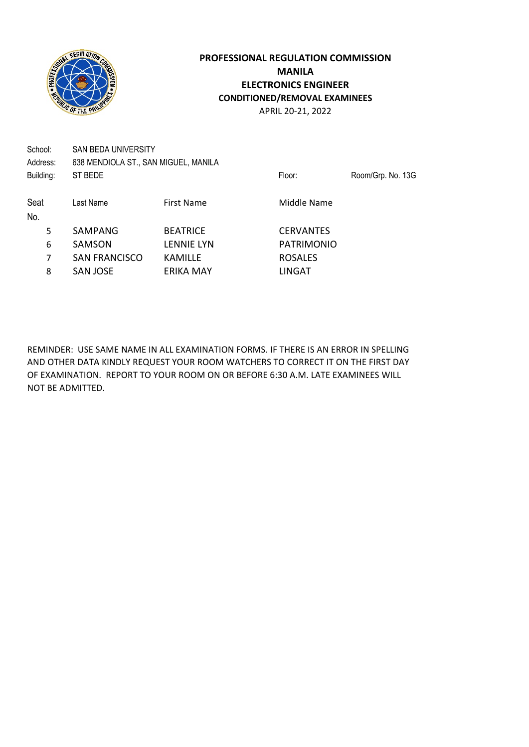

School: SAN BEDA UNIVERSITY Address: 638 MENDIOLA ST., SAN MIGUEL, MANILA Building: ST BEDE **Floor:** Room/Grp. No. 13G

Seat Last Name First Name First Name Middle Name No. 5 SAMPANG BEATRICE CERVANTES 6 SAMSON LENNIE LYN PATRIMONIO 7 SAN FRANCISCO KAMILLE ROSALES 8 SAN JOSE ERIKA MAY LINGAT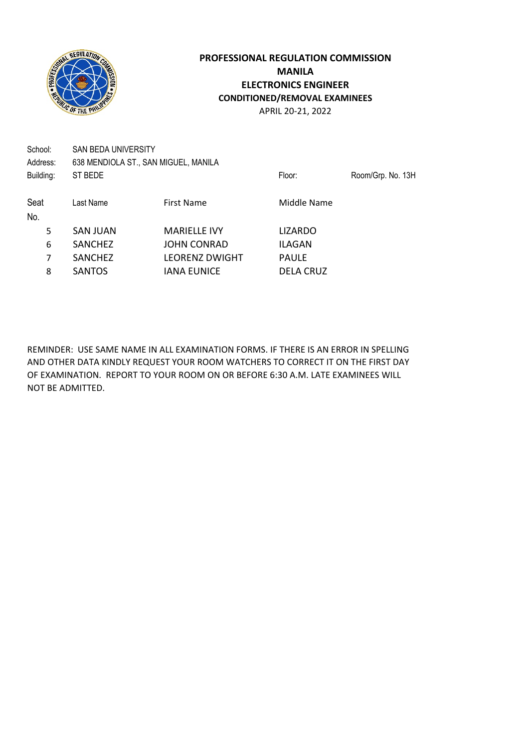

School: SAN BEDA UNIVERSITY Address: 638 MENDIOLA ST., SAN MIGUEL, MANILA Building: ST BEDE **Floor:** Room/Grp. No. 13H Seat Last Name First Name First Name Middle Name No. 5 SAN JUAN MARIELLE IVY LIZARDO 6 SANCHEZ JOHN CONRAD ILAGAN 7 SANCHEZ LEORENZ DWIGHT PAULE 8 SANTOS IANA EUNICE DELA CRUZ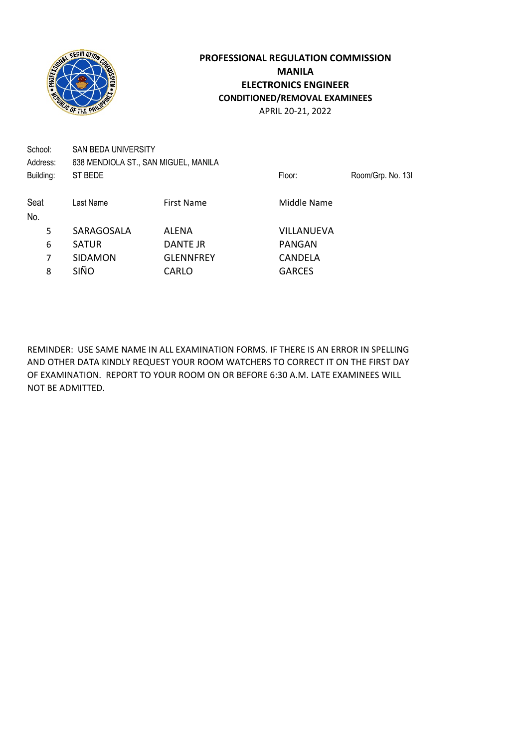

School: SAN BEDA UNIVERSITY Address: 638 MENDIOLA ST., SAN MIGUEL, MANILA Building: ST BEDE **Floor:** Room/Grp. No. 13I Seat Last Name First Name First Name Middle Name No. 5 SARAGOSALA ALENA VILLANUEVA 6 SATUR DANTE JR PANGAN 7 SIDAMON GLENNFREY CANDELA 8 SIÑO CARLO GARCES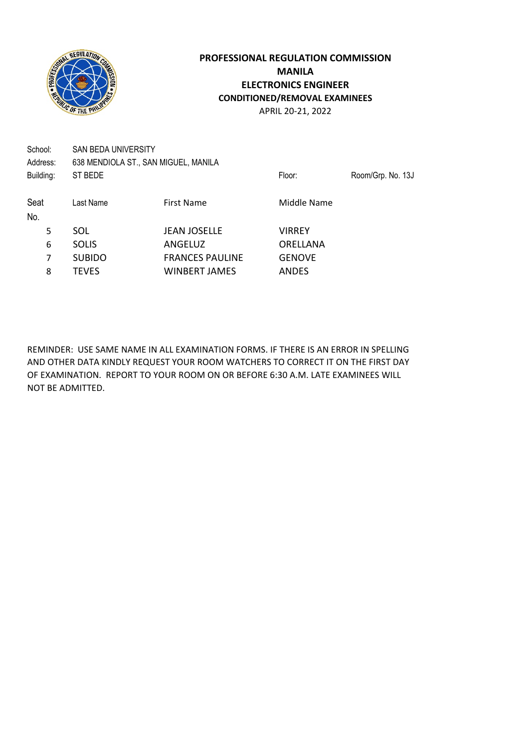

School: SAN BEDA UNIVERSITY Address: 638 MENDIOLA ST., SAN MIGUEL, MANILA Building: ST BEDE **Floor:** Room/Grp. No. 13J Seat Last Name First Name First Name Middle Name No. 5 SOL JEAN JOSELLE VIRREY 6 SOLIS ANGELUZ ORELLANA 7 SUBIDO FRANCES PAULINE GENOVE 8 TEVES WINBERT JAMES ANDES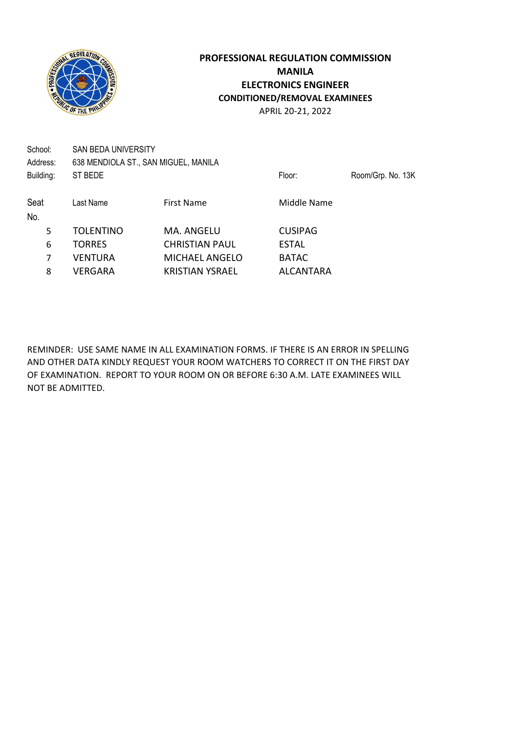

School: SAN BEDA UNIVERSITY Address: 638 MENDIOLA ST., SAN MIGUEL, MANILA Building: ST BEDE **Floor:** Room/Grp. No. 13K Seat Last Name First Name First Name Middle Name No. 5 TOLENTINO MA. ANGELU CUSIPAG 6 TORRES CHRISTIAN PAUL ESTAL 7 VENTURA MICHAEL ANGELO BATAC 8 VERGARA KRISTIAN YSRAEL ALCANTARA